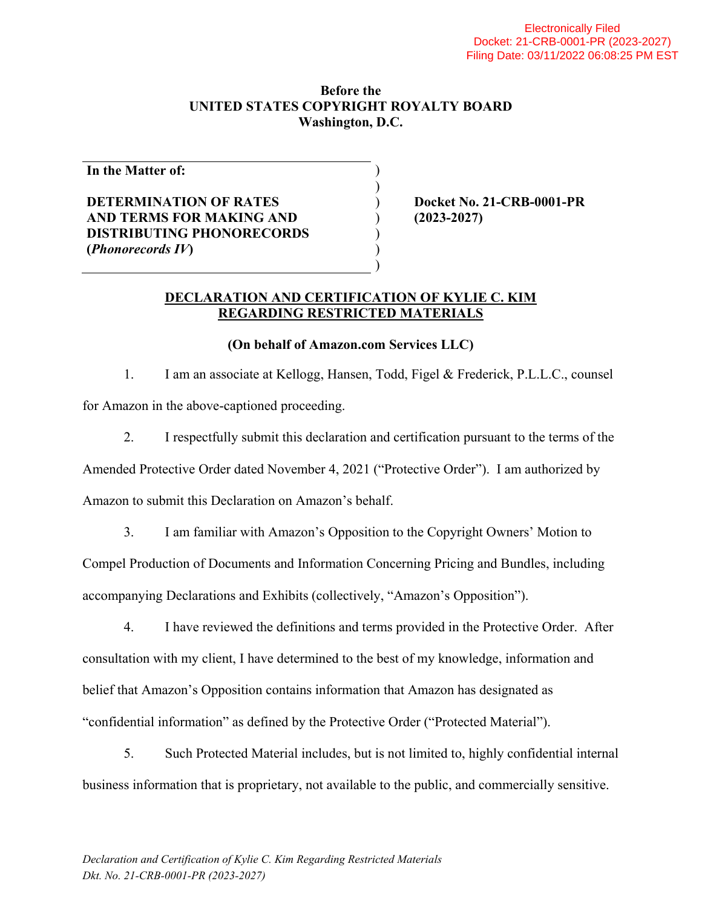#### **Before the UNITED STATES COPYRIGHT ROYALTY BOARD Washington, D.C.**

) )

> ) ) )

**In the Matter of:** 

## **DETERMINATION OF RATES AND TERMS FOR MAKING AND DISTRIBUTING PHONORECORDS (***Phonorecords IV***)**

) **Docket No. 21-CRB-0001-PR**  ) **(2023-2027)** 

### **DECLARATION AND CERTIFICATION OF KYLIE C. KIM REGARDING RESTRICTED MATERIALS**

## **(On behalf of Amazon.com Services LLC)**

1. I am an associate at Kellogg, Hansen, Todd, Figel & Frederick, P.L.L.C., counsel for Amazon in the above-captioned proceeding.

2. I respectfully submit this declaration and certification pursuant to the terms of the

Amended Protective Order dated November 4, 2021 ("Protective Order"). I am authorized by

Amazon to submit this Declaration on Amazon's behalf.

3. I am familiar with Amazon's Opposition to the Copyright Owners' Motion to Compel Production of Documents and Information Concerning Pricing and Bundles, including accompanying Declarations and Exhibits (collectively, "Amazon's Opposition").

4. I have reviewed the definitions and terms provided in the Protective Order. After consultation with my client, I have determined to the best of my knowledge, information and belief that Amazon's Opposition contains information that Amazon has designated as "confidential information" as defined by the Protective Order ("Protected Material").

5. Such Protected Material includes, but is not limited to, highly confidential internal business information that is proprietary, not available to the public, and commercially sensitive.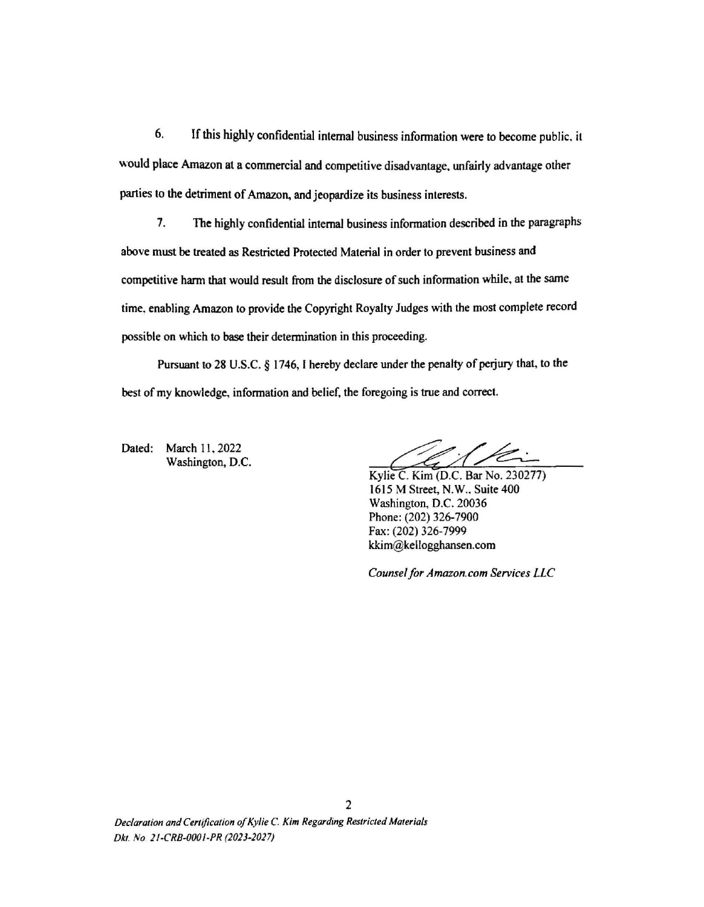6. If this highly confidential intemaJ business infonnation were to become public. it would place Amazon at a commercial and competitive disadvantage, unfairly advantage other parties to the detriment of Amazon. and jeopardize its business interests.

1. The highly confidential internal business infonnation described in the paragraphs above must be treated as Restricted Protected Material in order to prevent business and competitive harm that would result from the disclosure of such information while, at the same time. enabling Amazon to provide the Copyright Royalty Judges with the most complete record possible on which to base their detennination in this proceeding.

Pursuant to 28 U.S.C. § 1746, I hereby declare under the penalty of perjury that, to the best of my knowledge, information and belief, the foregoing is true and correct.

Dated: March 11, 2022 Washington, D.C.

Kylie C. Kim (D.C. Bar No. 230277) 1615 M Street, N.W .. Suite 400 Washington, D.C. 20036 Phone: (202) 326-7900 Fax: (202) 326-7999 kkim@kellogghansen.com

*Counsel/or Amazon.com Services LLC*